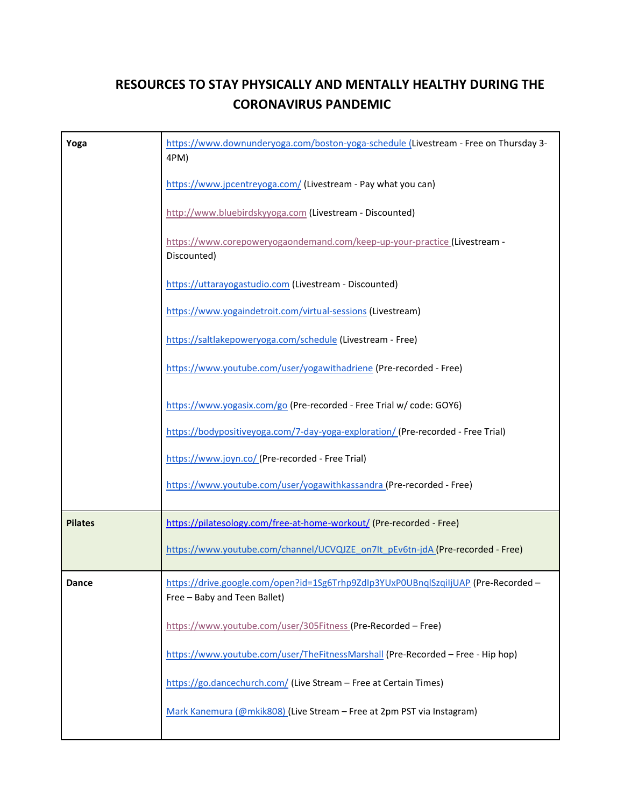## **RESOURCES TO STAY PHYSICALLY AND MENTALLY HEALTHY DURING THE CORONAVIRUS PANDEMIC**

| Yoga           | https://www.downunderyoga.com/boston-yoga-schedule (Livestream - Free on Thursday 3-<br>4PM)                       |
|----------------|--------------------------------------------------------------------------------------------------------------------|
|                | https://www.jpcentreyoga.com/ (Livestream - Pay what you can)                                                      |
|                | http://www.bluebirdskyyoga.com (Livestream - Discounted)                                                           |
|                | https://www.corepoweryogaondemand.com/keep-up-your-practice (Livestream -<br>Discounted)                           |
|                | https://uttarayogastudio.com (Livestream - Discounted)                                                             |
|                | https://www.yogaindetroit.com/virtual-sessions (Livestream)                                                        |
|                | https://saltlakepoweryoga.com/schedule (Livestream - Free)                                                         |
|                | https://www.youtube.com/user/yogawithadriene (Pre-recorded - Free)                                                 |
|                | https://www.yogasix.com/go (Pre-recorded - Free Trial w/ code: GOY6)                                               |
|                | https://bodypositiveyoga.com/7-day-yoga-exploration/(Pre-recorded - Free Trial)                                    |
|                | https://www.joyn.co/ (Pre-recorded - Free Trial)                                                                   |
|                | https://www.youtube.com/user/yogawithkassandra (Pre-recorded - Free)                                               |
| <b>Pilates</b> | https://pilatesology.com/free-at-home-workout/ (Pre-recorded - Free)                                               |
|                | https://www.youtube.com/channel/UCVQJZE_on7It_pEv6tn-jdA (Pre-recorded - Free)                                     |
| Dance          | https://drive.google.com/open?id=1Sg6Trhp9ZdIp3YUxP0UBnqlSzqiIjUAP (Pre-Recorded -<br>Free - Baby and Teen Ballet) |
|                | https://www.youtube.com/user/305Fitness (Pre-Recorded - Free)                                                      |
|                | https://www.youtube.com/user/TheFitnessMarshall (Pre-Recorded - Free - Hip hop)                                    |
|                | https://go.dancechurch.com/ (Live Stream - Free at Certain Times)                                                  |
|                | Mark Kanemura (@mkik808) (Live Stream - Free at 2pm PST via Instagram)                                             |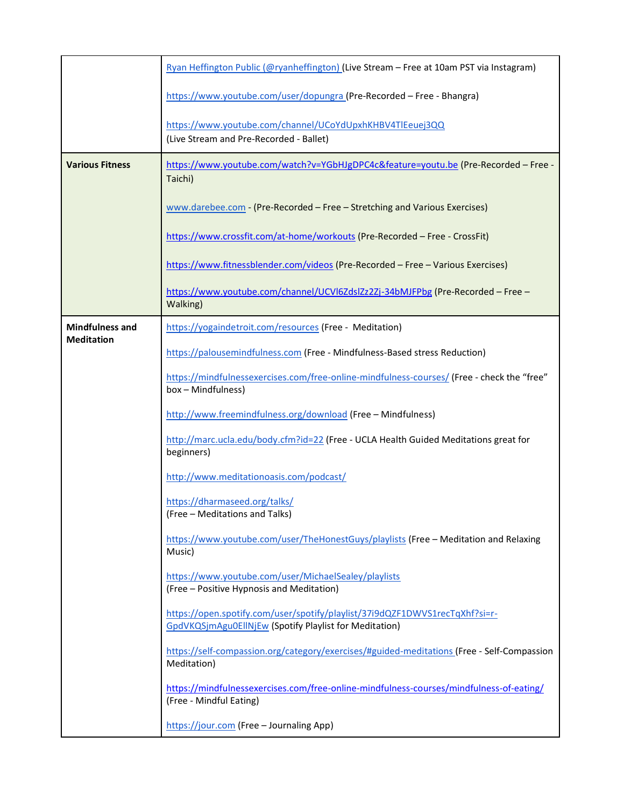|                                             | Ryan Heffington Public (@ryanheffington) (Live Stream - Free at 10am PST via Instagram)                                               |
|---------------------------------------------|---------------------------------------------------------------------------------------------------------------------------------------|
|                                             | https://www.youtube.com/user/dopungra (Pre-Recorded - Free - Bhangra)                                                                 |
|                                             | https://www.youtube.com/channel/UCoYdUpxhKHBV4TlEeuej3QQ<br>(Live Stream and Pre-Recorded - Ballet)                                   |
| <b>Various Fitness</b>                      | https://www.youtube.com/watch?v=YGbHJgDPC4c&feature=youtu.be (Pre-Recorded - Free -<br>Taichi)                                        |
|                                             | www.darebee.com - (Pre-Recorded – Free – Stretching and Various Exercises)                                                            |
|                                             | https://www.crossfit.com/at-home/workouts (Pre-Recorded - Free - CrossFit)                                                            |
|                                             | https://www.fitnessblender.com/videos (Pre-Recorded - Free - Various Exercises)                                                       |
|                                             | https://www.youtube.com/channel/UCVI6ZdsIZz2Zj-34bMJFPbg (Pre-Recorded - Free -<br>Walking)                                           |
| <b>Mindfulness and</b><br><b>Meditation</b> | https://yogaindetroit.com/resources (Free - Meditation)                                                                               |
|                                             | https://palousemindfulness.com (Free - Mindfulness-Based stress Reduction)                                                            |
|                                             | https://mindfulnessexercises.com/free-online-mindfulness-courses/ (Free - check the "free"<br>box-Mindfulness)                        |
|                                             | http://www.freemindfulness.org/download (Free - Mindfulness)                                                                          |
|                                             | http://marc.ucla.edu/body.cfm?id=22 (Free - UCLA Health Guided Meditations great for<br>beginners)                                    |
|                                             | http://www.meditationoasis.com/podcast/                                                                                               |
|                                             | https://dharmaseed.org/talks/<br>(Free - Meditations and Talks)                                                                       |
|                                             | https://www.youtube.com/user/TheHonestGuys/playlists (Free - Meditation and Relaxing<br>Music)                                        |
|                                             | https://www.youtube.com/user/MichaelSealey/playlists<br>(Free - Positive Hypnosis and Meditation)                                     |
|                                             | https://open.spotify.com/user/spotify/playlist/37i9dQZF1DWVS1recTqXhf?si=r-<br>GpdVKQSjmAgu0EllNjEw (Spotify Playlist for Meditation) |
|                                             | https://self-compassion.org/category/exercises/#guided-meditations (Free - Self-Compassion<br>Meditation)                             |
|                                             | https://mindfulnessexercises.com/free-online-mindfulness-courses/mindfulness-of-eating/<br>(Free - Mindful Eating)                    |
|                                             | https://jour.com (Free - Journaling App)                                                                                              |